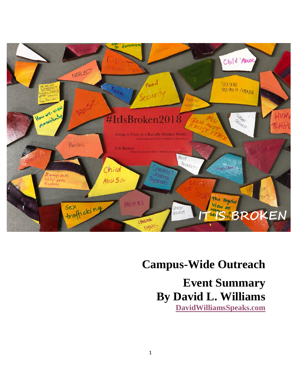

### **Campus-Wide Outreach**

**Event Summary By David L. Williams [DavidWilliamsSpeaks.com](http://www.davidwilliamsspeaks.com/)**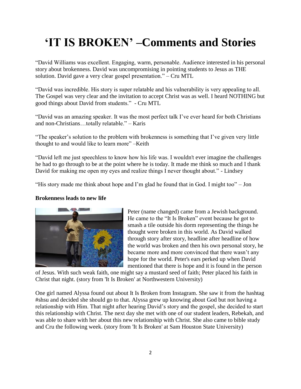# **'IT IS BROKEN' –Comments and Stories**

"David Williams was excellent. Engaging, warm, personable. Audience interested in his personal story about brokenness. David was uncompromising in pointing students to Jesus as THE solution. David gave a very clear gospel presentation." – Cru MTL

"David was incredible. His story is super relatable and his vulnerability is very appealing to all. The Gospel was very clear and the invitation to accept Christ was as well. I heard NOTHING but good things about David from students." - Cru MTL

"David was an amazing speaker. It was the most perfect talk I've ever heard for both Christians and non-Christians…totally relatable." – Karis

"The speaker's solution to the problem with brokenness is something that I've given very little thought to and would like to learn more" –Keith

"David left me just speechless to know how his life was. I wouldn't ever imagine the challenges he had to go through to be at the point where he is today. It made me think so much and I thank David for making me open my eyes and realize things I never thought about." - Lindsey

"His story made me think about hope and I'm glad he found that in God. I might too" – Jon

#### **Brokenness leads to new life**



Peter (name changed) came from a Jewish background. He came to the "It Is Broken" event because he got to smash a tile outside his dorm representing the things he thought were broken in this world. As David walked through story after story, headline after headline of how the world was broken and then his own personal story, he became more and more convinced that there wasn't any hope for the world. Peter's ears perked up when David mentioned that there is hope and it is found in the person

of Jesus. With such weak faith, one might say a mustard seed of faith; Peter placed his faith in Christ that night. (story from 'It Is Broken' at Northwestern University)

One girl named Alyssa found out about It Is Broken from Instagram. She saw it from the hashtag #shsu and decided she should go to that. Alyssa grew up knowing about God but not having a relationship with Him. That night after hearing David's story and the gospel, she decided to start this relationship with Christ. The next day she met with one of our student leaders, Rebekah, and was able to share with her about this new relationship with Christ. She also came to bible study and Cru the following week. (story from 'It Is Broken' at Sam Houston State University)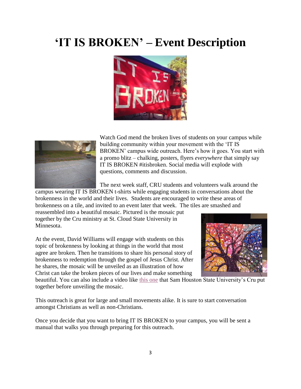## **'IT IS BROKEN' – Event Description**





Watch God mend the broken lives of students on your campus while building community within your movement with the 'IT IS BROKEN' campus wide outreach. Here's how it goes. You start with a promo blitz – chalking, posters, flyers *everywhere* that simply say IT IS BROKEN #itisbroken. Social media will explode with questions, comments and discussion.

The next week staff, CRU students and volunteers walk around the

campus wearing IT IS BROKEN t-shirts while engaging students in conversations about the brokenness in the world and their lives. Students are encouraged to write these areas of brokenness on a tile, and invited to an event later that week*.* The tiles are smashed and

reassembled into a beautiful mosaic. Pictured is the mosaic put together by the Cru ministry at St. Cloud State University in Minnesota.

At the event, David Williams will engage with students on this topic of brokenness by looking at things in the world that most agree are broken. Then he transitions to share his personal story of brokenness to redemption through the gospel of Jesus Christ. After he shares, the mosaic will be unveiled as an illustration of how Christ can take the broken pieces of our lives and make something



beautiful. You can also include a video like [this one](https://www.davidwilliamsspeaks.com/it-is-broken) that Sam Houston State University's Cru put together before unveiling the mosaic.

This outreach is great for large and small movements alike. It is sure to start conversation amongst Christians as well as non-Christians.

Once you decide that you want to bring IT IS BROKEN to your campus, you will be sent a manual that walks you through preparing for this outreach.